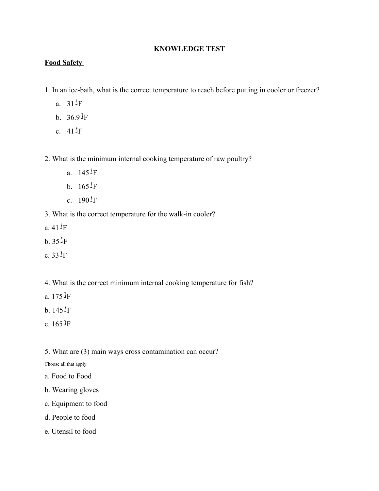# **KNOWLEDGE TEST**

# **Food Safety**

- 1. In an ice-bath, what is the correct temperature to reach before putting in cooler or freezer?
	- a. 31 ْF
	- b.  $36.9$ <sup> $\text{J}$ </sup>F
	- c.  $41 \text{J} \text{F}$
- 2. What is the minimum internal cooking temperature of raw poultry?
	- a.  $145 \text{ }^{\text{1}}\text{F}$
	- b.  $165 \text{J} \text{F}$
	- c.  $190 \text{ }^{\text{1}}\text{F}$
- 3. What is the correct temperature for the walk-in cooler?
- a. 41 ْF
- b. 35 ْF
- c. 33 ْF
- 4. What is the correct minimum internal cooking temperature for fish?
- a. 175 ْF
- b. 145 ْF
- c. 165 ْF
- 5. What are (3) main ways cross contamination can occur?

Choose all that apply

- a. Food to Food
- b. Wearing gloves
- c. Equipment to food
- d. People to food
- e. Utensil to food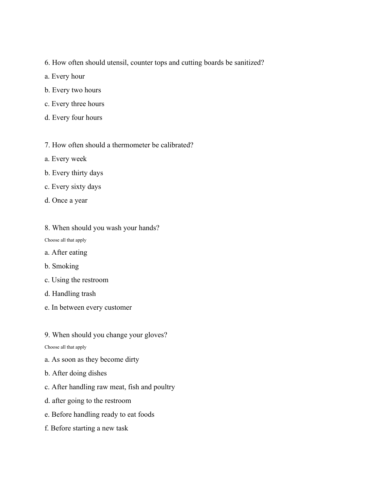- 6. How often should utensil, counter tops and cutting boards be sanitized?
- a. Every hour
- b. Every two hours
- c. Every three hours
- d. Every four hours
- 7. How often should a thermometer be calibrated?
- a. Every week
- b. Every thirty days
- c. Every sixty days
- d. Once a year
- 8. When should you wash your hands?

Choose all that apply

- a. After eating
- b. Smoking
- c. Using the restroom
- d. Handling trash
- e. In between every customer
- 9. When should you change your gloves?

Choose all that apply

- a. As soon as they become dirty
- b. After doing dishes
- c. After handling raw meat, fish and poultry
- d. after going to the restroom
- e. Before handling ready to eat foods
- f. Before starting a new task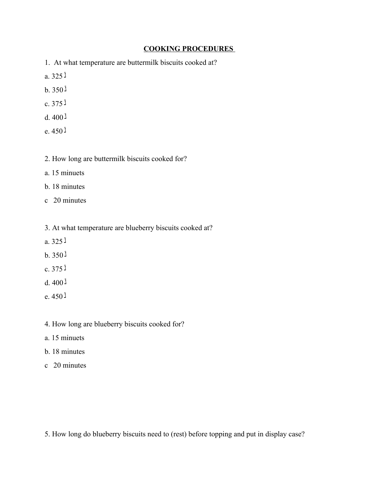#### **COOKING PROCEDURES**

- 1. At what temperature are buttermilk biscuits cooked at?
- $a.325j$
- $b.350$ <sup> $1$ </sup>
- $c.375$
- $d.400$ <sup> $1$ </sup>
- $e.450<sup>1</sup>$
- 2. How long are buttermilk biscuits cooked for?
- a. 15 minuets
- b. 18 minutes
- c 20 minutes
- 3. At what temperature are blueberry biscuits cooked at?
- a.  $325<sup>1</sup>$
- $b.350$ <sup> $1$ </sup>
- $c.375$
- $d.400$ <sup> $1$ </sup>
- $e.450<sup>3</sup>$
- 4. How long are blueberry biscuits cooked for?
- a. 15 minuets
- b. 18 minutes
- c 20 minutes

5. How long do blueberry biscuits need to (rest) before topping and put in display case?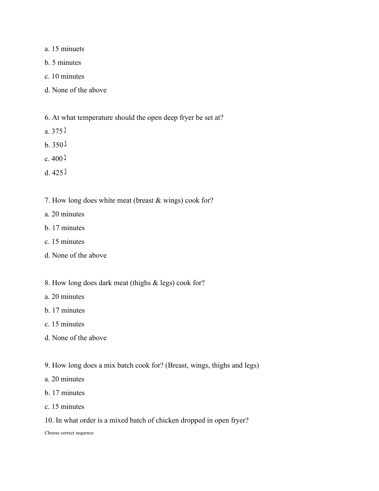- a. 15 minuets
- b. 5 minutes
- c. 10 minutes
- d. None of the above
- 6. At what temperature should the open deep fryer be set at?
- a.  $375$ <sup> $\text{1}$ </sup>
- $b.350$
- $c.400<sup>3</sup>$
- $d.425$ <sup> $1$ </sup>
- 7. How long does white meat (breast & wings) cook for?
- a. 20 minutes
- b. 17 minutes
- c. 15 minutes
- d. None of the above
- 8. How long does dark meat (thighs & legs) cook for?
- a. 20 minutes
- b. 17 minutes
- c. 15 minutes
- d. None of the above
- 9. How long does a mix batch cook for? (Breast, wings, thighs and legs)
- a. 20 minutes
- b. 17 minutes
- c. 15 minutes
- 10. In what order is a mixed batch of chicken dropped in open fryer?

Choose correct sequence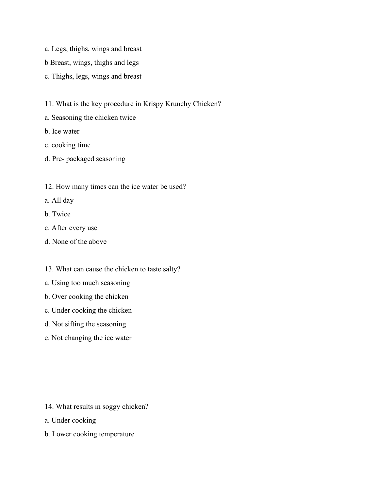- a. Legs, thighs, wings and breast
- b Breast, wings, thighs and legs
- c. Thighs, legs, wings and breast
- 11. What is the key procedure in Krispy Krunchy Chicken?
- a. Seasoning the chicken twice
- b. Ice water
- c. cooking time
- d. Pre- packaged seasoning
- 12. How many times can the ice water be used?
- a. All day
- b. Twice
- c. After every use
- d. None of the above
- 13. What can cause the chicken to taste salty?
- a. Using too much seasoning
- b. Over cooking the chicken
- c. Under cooking the chicken
- d. Not sifting the seasoning
- e. Not changing the ice water

- 14. What results in soggy chicken?
- a. Under cooking
- b. Lower cooking temperature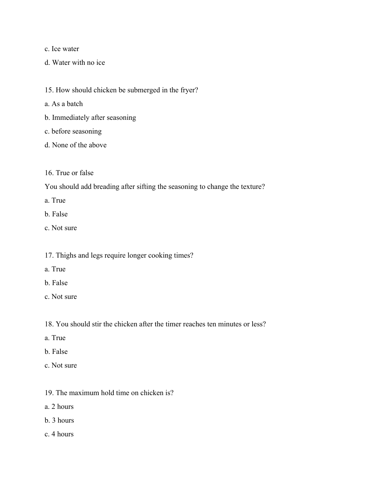c. Ice water

- d. Water with no ice
- 15. How should chicken be submerged in the fryer?
- a. As a batch
- b. Immediately after seasoning
- c. before seasoning
- d. None of the above
- 16. True or false

You should add breading after sifting the seasoning to change the texture?

- a. True
- b. False
- c. Not sure
- 17. Thighs and legs require longer cooking times?
- a. True
- b. False
- c. Not sure
- 18. You should stir the chicken after the timer reaches ten minutes or less?
- a. True
- b. False
- c. Not sure
- 19. The maximum hold time on chicken is?
- a. 2 hours
- b. 3 hours
- c. 4 hours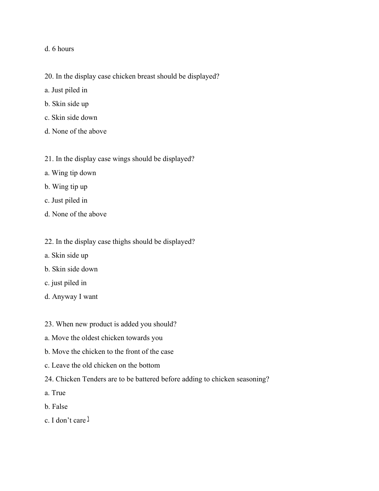#### d. 6 hours

- 20. In the display case chicken breast should be displayed?
- a. Just piled in
- b. Skin side up
- c. Skin side down
- d. None of the above
- 21. In the display case wings should be displayed?
- a. Wing tip down
- b. Wing tip up
- c. Just piled in
- d. None of the above
- 22. In the display case thighs should be displayed?
- a. Skin side up
- b. Skin side down
- c. just piled in
- d. Anyway I want
- 23. When new product is added you should?
- a. Move the oldest chicken towards you
- b. Move the chicken to the front of the case
- c. Leave the old chicken on the bottom
- 24. Chicken Tenders are to be battered before adding to chicken seasoning?
- a. True
- b. False
- c. I don't care  $\lambda$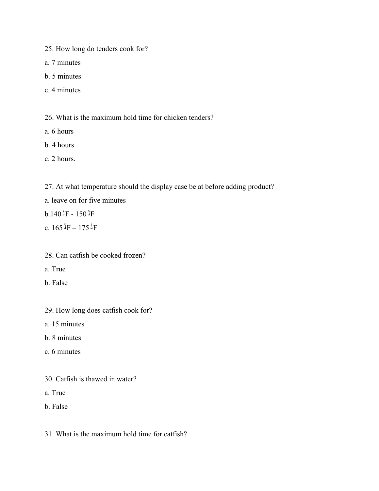25. How long do tenders cook for?

a. 7 minutes

- b. 5 minutes
- c. 4 minutes

26. What is the maximum hold time for chicken tenders?

- a. 6 hours
- b. 4 hours
- c. 2 hours.

27. At what temperature should the display case be at before adding product?

- a. leave on for five minutes
- $b.140$ <sup> $J$ </sup>F  $150$ <sup> $J$ </sup>F
- c.  $165 \text{ J} = 175 \text{ J}$ F
- 28. Can catfish be cooked frozen?
- a. True
- b. False
- 29. How long does catfish cook for?
- a. 15 minutes
- b. 8 minutes
- c. 6 minutes
- 30. Catfish is thawed in water?
- a. True
- b. False
- 31. What is the maximum hold time for catfish?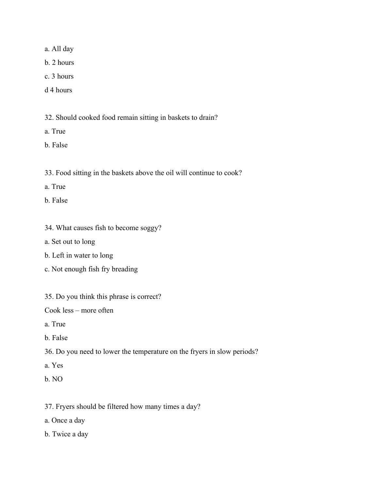a. All day

b. 2 hours

- c. 3 hours
- d 4 hours

32. Should cooked food remain sitting in baskets to drain?

- a. True
- b. False
- 33. Food sitting in the baskets above the oil will continue to cook?
- a. True
- b. False
- 34. What causes fish to become soggy?
- a. Set out to long
- b. Left in water to long
- c. Not enough fish fry breading
- 35. Do you think this phrase is correct?

Cook less – more often

- a. True
- b. False
- 36. Do you need to lower the temperature on the fryers in slow periods?
- a. Yes
- b. NO
- 37. Fryers should be filtered how many times a day?
- a. Once a day
- b. Twice a day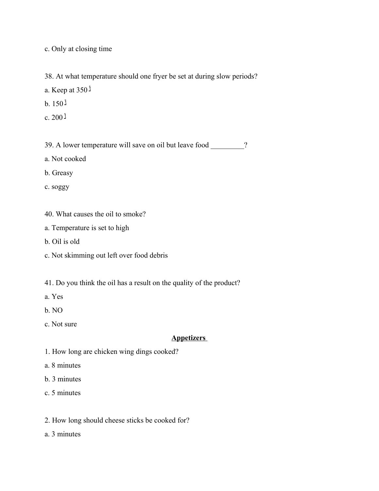c. Only at closing time

38. At what temperature should one fryer be set at during slow periods?

a. Keep at 350 ْ

- $b. 150$ <sup> $i$ </sup>
- $c. 200$ <sup> $1$ </sup>

39. A lower temperature will save on oil but leave food ?

a. Not cooked

b. Greasy

c. soggy

- 40. What causes the oil to smoke?
- a. Temperature is set to high
- b. Oil is old
- c. Not skimming out left over food debris
- 41. Do you think the oil has a result on the quality of the product?
- a. Yes
- b. NO
- c. Not sure

#### **Appetizers**

- 1. How long are chicken wing dings cooked?
- a. 8 minutes
- b. 3 minutes
- c. 5 minutes
- 2. How long should cheese sticks be cooked for?
- a. 3 minutes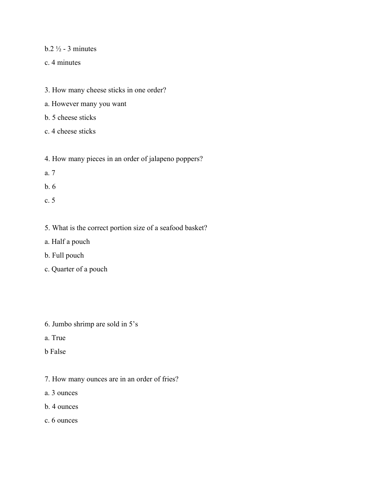## $b.2\frac{1}{2}$  - 3 minutes

- c. 4 minutes
- 3. How many cheese sticks in one order?
- a. However many you want
- b. 5 cheese sticks
- c. 4 cheese sticks
- 4. How many pieces in an order of jalapeno poppers?
- a. 7
- b. 6
- c. 5
- 5. What is the correct portion size of a seafood basket?
- a. Half a pouch
- b. Full pouch
- c. Quarter of a pouch
- 6. Jumbo shrimp are sold in 5's
- a. True
- b False
- 7. How many ounces are in an order of fries?
- a. 3 ounces
- b. 4 ounces
- c. 6 ounces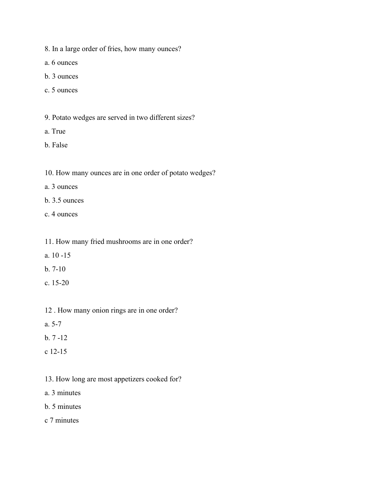- 8. In a large order of fries, how many ounces?
- a. 6 ounces
- b. 3 ounces
- c. 5 ounces
- 9. Potato wedges are served in two different sizes?
- a. True
- b. False
- 10. How many ounces are in one order of potato wedges?
- a. 3 ounces
- b. 3.5 ounces
- c. 4 ounces
- 11. How many fried mushrooms are in one order?
- a. 10 -15
- b. 7-10
- c. 15-20
- 12 . How many onion rings are in one order?
- a. 5-7
- b. 7 -12
- c 12-15
- 13. How long are most appetizers cooked for?
- a. 3 minutes
- b. 5 minutes
- c 7 minutes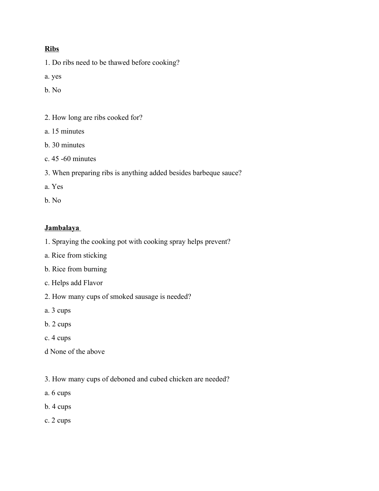## **Ribs**

1. Do ribs need to be thawed before cooking?

a. yes

b. No

- 2. How long are ribs cooked for?
- a. 15 minutes
- b. 30 minutes
- c. 45 -60 minutes
- 3. When preparing ribs is anything added besides barbeque sauce?
- a. Yes
- b. No

#### **Jambalaya**

- 1. Spraying the cooking pot with cooking spray helps prevent?
- a. Rice from sticking
- b. Rice from burning
- c. Helps add Flavor
- 2. How many cups of smoked sausage is needed?
- a. 3 cups
- b. 2 cups
- c. 4 cups
- d None of the above
- 3. How many cups of deboned and cubed chicken are needed?
- a. 6 cups
- b. 4 cups
- c. 2 cups